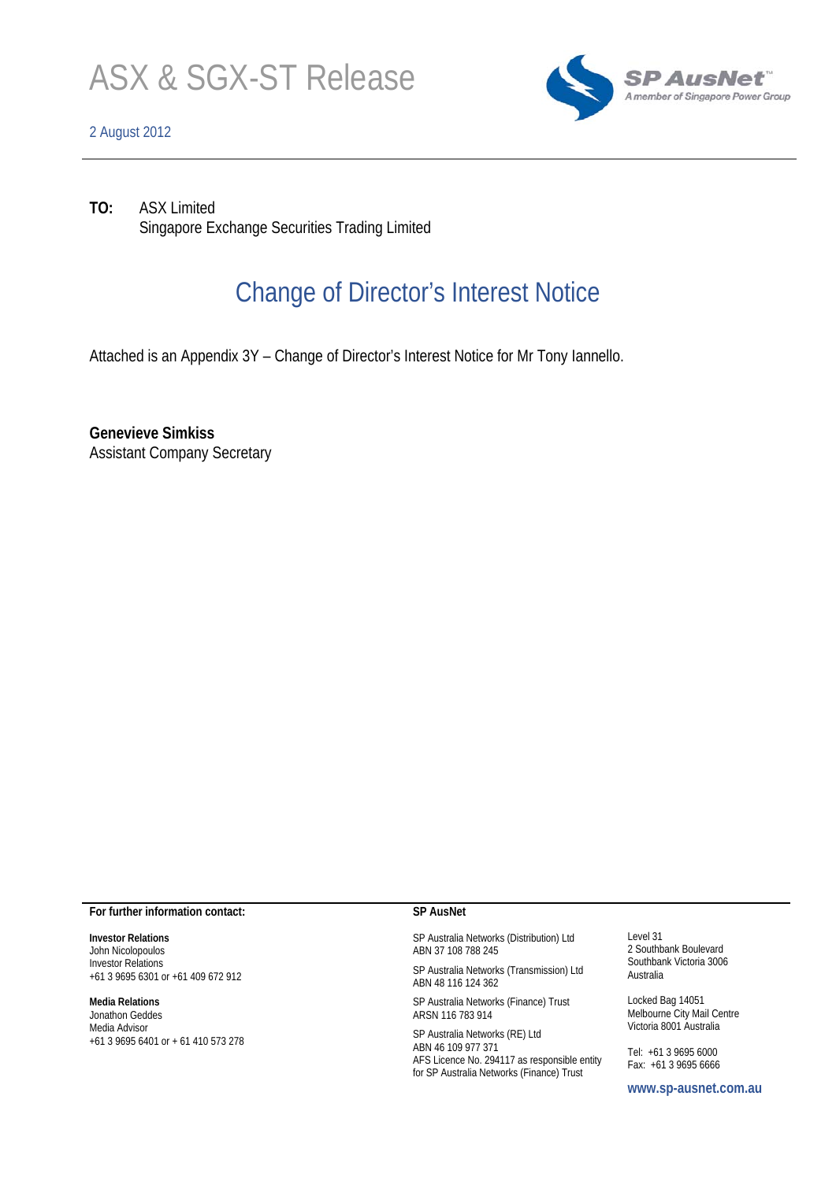

## 2 August 2012



**TO:** ASX Limited Singapore Exchange Securities Trading Limited

# Change of Director's Interest Notice

Attached is an Appendix 3Y – Change of Director's Interest Notice for Mr Tony Iannello.

**Genevieve Simkiss**  Assistant Company Secretary

### **For further information contact:**

**Investor Relations**  John Nicolopoulos Investor Relations +61 3 9695 6301 or +61 409 672 912

#### **Media Relations**

Jonathon Geddes Media Advisor +61 3 9695 6401 or + 61 410 573 278

### **SP AusNet**

SP Australia Networks (Distribution) Ltd ABN 37 108 788 245

SP Australia Networks (Transmission) Ltd ABN 48 116 124 362

SP Australia Networks (Finance) Trust ARSN 116 783 914

SP Australia Networks (RE) Ltd ABN 46 109 977 371 AFS Licence No. 294117 as responsible entity for SP Australia Networks (Finance) Trust

Level 31 2 Southbank Boulevard Southbank Victoria 3006 Australia

Locked Bag 14051 Melbourne City Mail Centre Victoria 8001 Australia

Tel: +61 3 9695 6000 Fax: +61 3 9695 6666

**www.sp-ausnet.com.au**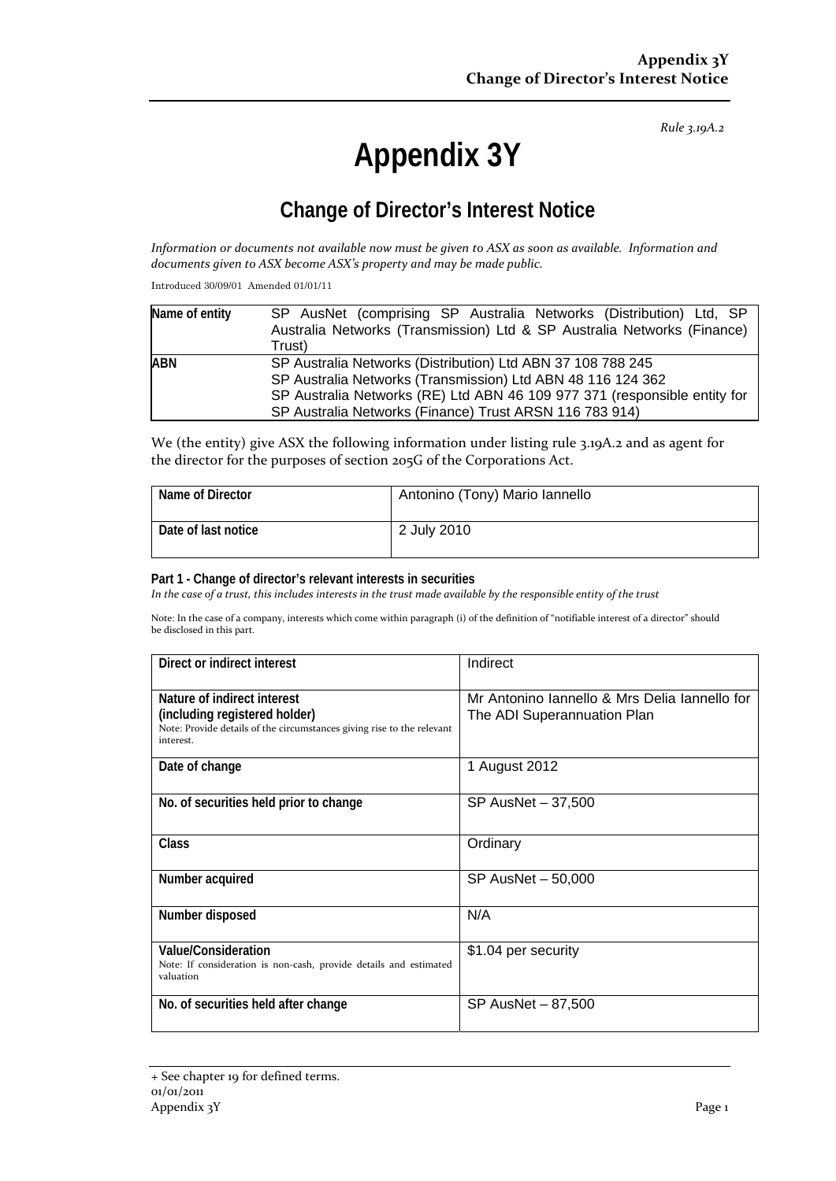*Rule 3.19A.2*

# **Appendix 3Y**

# **Change of Director's Interest Notice**

Information or documents not available now must be given to ASX as soon as available. Information and *documents given to ASX become ASX's property and may be made public.*

Introduced 30/09/01 Amended 01/01/11

| Name of entity | SP AusNet (comprising SP Australia Networks (Distribution) Ltd, SP                                                         |  |  |  |
|----------------|----------------------------------------------------------------------------------------------------------------------------|--|--|--|
|                | Australia Networks (Transmission) Ltd & SP Australia Networks (Finance)                                                    |  |  |  |
|                | Trust)                                                                                                                     |  |  |  |
| <b>ABN</b>     | SP Australia Networks (Distribution) Ltd ABN 37 108 788 245<br>SP Australia Networks (Transmission) Ltd ABN 48 116 124 362 |  |  |  |
|                |                                                                                                                            |  |  |  |
|                | SP Australia Networks (RE) Ltd ABN 46 109 977 371 (responsible entity for                                                  |  |  |  |
|                | SP Australia Networks (Finance) Trust ARSN 116 783 914)                                                                    |  |  |  |

We (the entity) give ASX the following information under listing rule 3.19A.2 and as agent for the director for the purposes of section 205G of the Corporations Act.

| Name of Director    | Antonino (Tony) Mario lannello |
|---------------------|--------------------------------|
| Date of last notice | 2 July 2010                    |

## **Part 1 - Change of director's relevant interests in securities**

In the case of a trust, this includes interests in the trust made available by the responsible entity of the trust

Note: In the case of a company, interests which come within paragraph (i) of the definition of "notifiable interest of a director" should be disclosed in this part.

| Direct or indirect interest                                                         | Indirect                                      |  |
|-------------------------------------------------------------------------------------|-----------------------------------------------|--|
| Nature of indirect interest                                                         | Mr Antonino Iannello & Mrs Delia Iannello for |  |
| (including registered holder)                                                       |                                               |  |
|                                                                                     | The ADI Superannuation Plan                   |  |
| Note: Provide details of the circumstances giving rise to the relevant<br>interest. |                                               |  |
| Date of change                                                                      | 1 August 2012                                 |  |
|                                                                                     |                                               |  |
| No. of securities held prior to change                                              | SP AusNet - 37,500                            |  |
|                                                                                     |                                               |  |
| Class                                                                               | Ordinary                                      |  |
|                                                                                     |                                               |  |
| Number acquired                                                                     | SP AusNet - 50,000                            |  |
|                                                                                     |                                               |  |
| Number disposed                                                                     | N/A                                           |  |
|                                                                                     |                                               |  |
| <b>Value/Consideration</b>                                                          | \$1.04 per security                           |  |
| Note: If consideration is non-cash, provide details and estimated                   |                                               |  |
| valuation                                                                           |                                               |  |
|                                                                                     |                                               |  |
| No. of securities held after change                                                 | SP AusNet - 87,500                            |  |
|                                                                                     |                                               |  |
|                                                                                     |                                               |  |

<sup>+</sup> See chapter 19 for defined terms. 01/01/2011 Appendix 3Y Page 1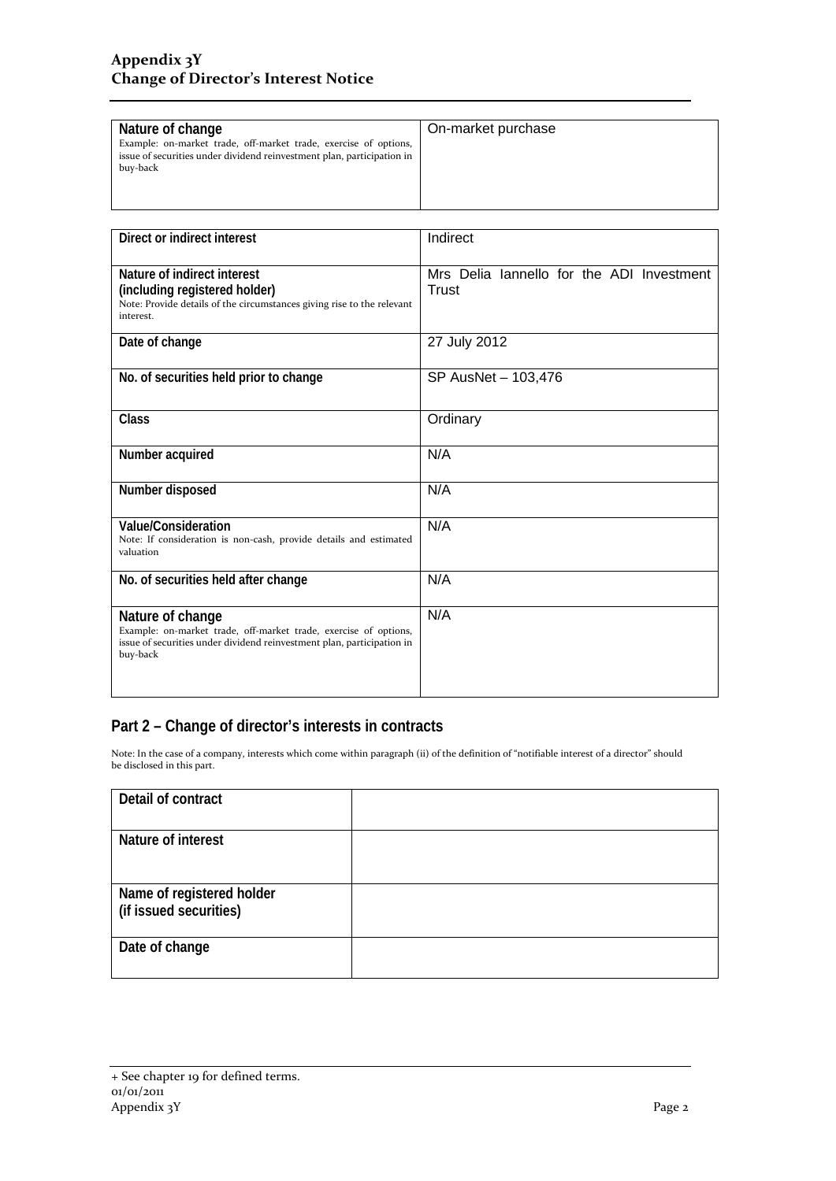| Nature of change                                                       | On-market purchase |
|------------------------------------------------------------------------|--------------------|
| Example: on-market trade, off-market trade, exercise of options,       |                    |
| issue of securities under dividend reinvestment plan, participation in |                    |
| buy-back                                                               |                    |
|                                                                        |                    |
|                                                                        |                    |
|                                                                        |                    |

| Direct or indirect interest                                                                                                                                                | Indirect                                           |  |
|----------------------------------------------------------------------------------------------------------------------------------------------------------------------------|----------------------------------------------------|--|
| Nature of indirect interest<br>(including registered holder)<br>Note: Provide details of the circumstances giving rise to the relevant<br>interest.                        | Mrs Delia lannello for the ADI Investment<br>Trust |  |
| Date of change                                                                                                                                                             | 27 July 2012                                       |  |
| No. of securities held prior to change                                                                                                                                     | SP AusNet - 103,476                                |  |
| <b>Class</b>                                                                                                                                                               | Ordinary                                           |  |
| Number acquired                                                                                                                                                            | N/A                                                |  |
| Number disposed                                                                                                                                                            | N/A                                                |  |
| Value/Consideration<br>Note: If consideration is non-cash, provide details and estimated<br>valuation                                                                      | N/A                                                |  |
| No. of securities held after change                                                                                                                                        | N/A                                                |  |
| Nature of change<br>Example: on-market trade, off-market trade, exercise of options,<br>issue of securities under dividend reinvestment plan, participation in<br>buy-back | N/A                                                |  |

## **Part 2 – Change of director's interests in contracts**

Note: In the case of a company, interests which come within paragraph (ii) of the definition of "notifiable interest of a director" should be disclosed in this part.

| Detail of contract                                  |  |  |
|-----------------------------------------------------|--|--|
| Nature of interest                                  |  |  |
| Name of registered holder<br>(if issued securities) |  |  |
| Date of change                                      |  |  |